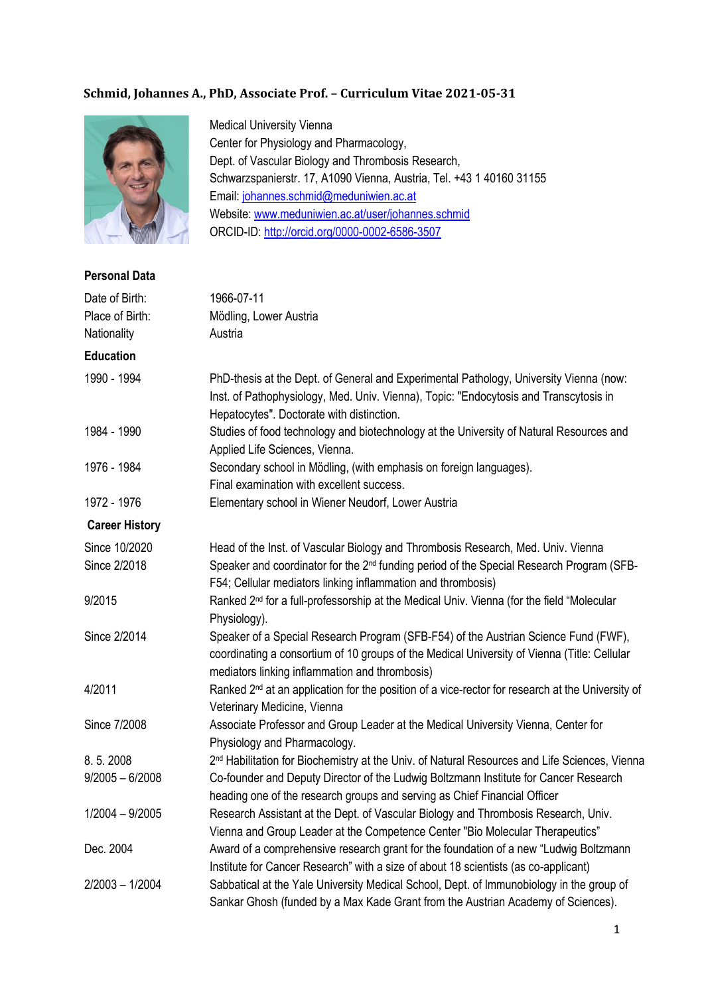## **Schmid, Johannes A., PhD, Associate Prof. – Curriculum Vitae 2021-05-31**



Medical University Vienna Center for Physiology and Pharmacology, Dept. of Vascular Biology and Thrombosis Research, Schwarzspanierstr. 17, A1090 Vienna, Austria, Tel. +43 1 40160 31155 Email: [johannes.schmid@meduniwien.ac.at](mailto:johannes.schmid@meduniwien.ac.at) Website: [www.meduniwien.ac.at/user/johannes.schmid](http://www.meduniwien.ac.at/user/johannes.schmid) ORCID-ID:<http://orcid.org/0000-0002-6586-3507>

**Personal Data**

| <b>Γ</b> σι δύτιαι Data |                                                                                                                                                                                                                                      |
|-------------------------|--------------------------------------------------------------------------------------------------------------------------------------------------------------------------------------------------------------------------------------|
| Date of Birth:          | 1966-07-11                                                                                                                                                                                                                           |
| Place of Birth:         | Mödling, Lower Austria                                                                                                                                                                                                               |
| Nationality             | Austria                                                                                                                                                                                                                              |
| <b>Education</b>        |                                                                                                                                                                                                                                      |
| 1990 - 1994             | PhD-thesis at the Dept. of General and Experimental Pathology, University Vienna (now:<br>Inst. of Pathophysiology, Med. Univ. Vienna), Topic: "Endocytosis and Transcytosis in<br>Hepatocytes". Doctorate with distinction.         |
| 1984 - 1990             | Studies of food technology and biotechnology at the University of Natural Resources and<br>Applied Life Sciences, Vienna.                                                                                                            |
| 1976 - 1984             | Secondary school in Mödling, (with emphasis on foreign languages).<br>Final examination with excellent success.                                                                                                                      |
| 1972 - 1976             | Elementary school in Wiener Neudorf, Lower Austria                                                                                                                                                                                   |
| <b>Career History</b>   |                                                                                                                                                                                                                                      |
| Since 10/2020           | Head of the Inst. of Vascular Biology and Thrombosis Research, Med. Univ. Vienna                                                                                                                                                     |
| Since 2/2018            | Speaker and coordinator for the 2 <sup>nd</sup> funding period of the Special Research Program (SFB-<br>F54; Cellular mediators linking inflammation and thrombosis)                                                                 |
| 9/2015                  | Ranked 2 <sup>nd</sup> for a full-professorship at the Medical Univ. Vienna (for the field "Molecular<br>Physiology).                                                                                                                |
| Since 2/2014            | Speaker of a Special Research Program (SFB-F54) of the Austrian Science Fund (FWF),<br>coordinating a consortium of 10 groups of the Medical University of Vienna (Title: Cellular<br>mediators linking inflammation and thrombosis) |
| 4/2011                  | Ranked 2 <sup>nd</sup> at an application for the position of a vice-rector for research at the University of<br>Veterinary Medicine, Vienna                                                                                          |
| Since 7/2008            | Associate Professor and Group Leader at the Medical University Vienna, Center for<br>Physiology and Pharmacology.                                                                                                                    |
| 8.5.2008                | 2 <sup>nd</sup> Habilitation for Biochemistry at the Univ. of Natural Resources and Life Sciences, Vienna                                                                                                                            |
| $9/2005 - 6/2008$       | Co-founder and Deputy Director of the Ludwig Boltzmann Institute for Cancer Research<br>heading one of the research groups and serving as Chief Financial Officer                                                                    |
| $1/2004 - 9/2005$       | Research Assistant at the Dept. of Vascular Biology and Thrombosis Research, Univ.<br>Vienna and Group Leader at the Competence Center "Bio Molecular Therapeutics"                                                                  |
| Dec. 2004               | Award of a comprehensive research grant for the foundation of a new "Ludwig Boltzmann<br>Institute for Cancer Research" with a size of about 18 scientists (as co-applicant)                                                         |
| 2/2003 - 1/2004         | Sabbatical at the Yale University Medical School, Dept. of Immunobiology in the group of<br>Sankar Ghosh (funded by a Max Kade Grant from the Austrian Academy of Sciences).                                                         |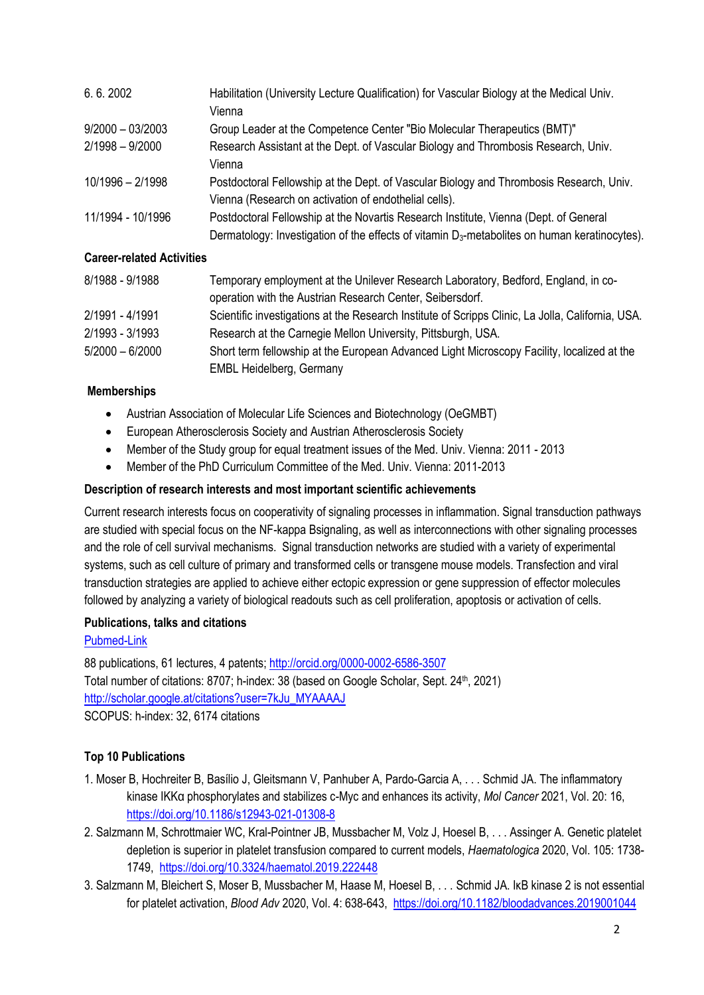| 6.6.2002           | Habilitation (University Lecture Qualification) for Vascular Biology at the Medical Univ.                 |
|--------------------|-----------------------------------------------------------------------------------------------------------|
|                    | Vienna                                                                                                    |
| $9/2000 - 03/2003$ | Group Leader at the Competence Center "Bio Molecular Therapeutics (BMT)"                                  |
| $2/1998 - 9/2000$  | Research Assistant at the Dept. of Vascular Biology and Thrombosis Research, Univ.                        |
|                    | Vienna                                                                                                    |
| 10/1996 - 2/1998   | Postdoctoral Fellowship at the Dept. of Vascular Biology and Thrombosis Research, Univ.                   |
|                    | Vienna (Research on activation of endothelial cells).                                                     |
| 11/1994 - 10/1996  | Postdoctoral Fellowship at the Novartis Research Institute, Vienna (Dept. of General                      |
|                    | Dermatology: Investigation of the effects of vitamin D <sub>3</sub> -metabolites on human keratinocytes). |

## **Career-related Activities**

| 8/1988 - 9/1988   | Temporary employment at the Unilever Research Laboratory, Bedford, England, in co-                |
|-------------------|---------------------------------------------------------------------------------------------------|
|                   | operation with the Austrian Research Center, Seibersdorf.                                         |
| 2/1991 - 4/1991   | Scientific investigations at the Research Institute of Scripps Clinic, La Jolla, California, USA. |
| 2/1993 - 3/1993   | Research at the Carnegie Mellon University, Pittsburgh, USA.                                      |
| $5/2000 - 6/2000$ | Short term fellowship at the European Advanced Light Microscopy Facility, localized at the        |
|                   | <b>EMBL Heidelberg, Germany</b>                                                                   |

### **Memberships**

- Austrian Association of Molecular Life Sciences and Biotechnology (OeGMBT)
- European Atherosclerosis Society and Austrian Atherosclerosis Society
- Member of the Study group for equal treatment issues of the Med. Univ. Vienna: 2011 2013
- Member of the PhD Curriculum Committee of the Med. Univ. Vienna: 2011-2013

## **Description of research interests and most important scientific achievements**

Current research interests focus on cooperativity of signaling processes in inflammation. Signal transduction pathways are studied with special focus on the NF-kappa Bsignaling, as well as interconnections with other signaling processes and the role of cell survival mechanisms. Signal transduction networks are studied with a variety of experimental systems, such as cell culture of primary and transformed cells or transgene mouse models. Transfection and viral transduction strategies are applied to achieve either ectopic expression or gene suppression of effector molecules followed by analyzing a variety of biological readouts such as cell proliferation, apoptosis or activation of cells.

### **Publications, talks and citations**

### [Pubmed-Link](https://pubmed.ncbi.nlm.nih.gov/?term=Schmid-JA%5Bau%5D+NOT+Switzerland+NOT+Wisconsin+NOT+Pennsylvania+NOT+Mannheim+NOT+Rottenberg+OR+(Schmid-J%5Bau%5D+AND+(Birbach-A%5Bau%5D+OR+Murphy-RF%5Bau%5D+OR+Ambros-PF%5Bau%5D))+OR+(Schmidt-J%5Bau%5D+AND+Baak%5Bau%5D))

88 publications, 61 lectures, 4 patents[; http://orcid.org/0000-0002-6586-3507](http://orcid.org/0000-0002-6586-3507) Total number of citations: 8707; h-index: 38 (based on Google Scholar, Sept. 24<sup>th</sup>, 2021) [http://scholar.google.at/citations?user=7kJu\\_MYAAAAJ](http://scholar.google.at/citations?user=7kJu_MYAAAAJ) SCOPUS: h-index: 32, 6174 citations

# **Top 10 Publications**

- 1. Moser B, Hochreiter B, Basílio J, Gleitsmann V, Panhuber A, Pardo-Garcia A, . . . Schmid JA. The inflammatory kinase IKKα phosphorylates and stabilizes c-Myc and enhances its activity, *Mol Cancer* 2021, Vol. 20: 16, <https://doi.org/10.1186/s12943-021-01308-8>
- 2. Salzmann M, Schrottmaier WC, Kral-Pointner JB, Mussbacher M, Volz J, Hoesel B, . . . Assinger A. Genetic platelet depletion is superior in platelet transfusion compared to current models, *Haematologica* 2020, Vol. 105: 1738- 1749, <https://doi.org/10.3324/haematol.2019.222448>
- 3. Salzmann M, Bleichert S, Moser B, Mussbacher M, Haase M, Hoesel B, . . . Schmid JA. IκB kinase 2 is not essential for platelet activation, *Blood Adv* 2020, Vol. 4: 638-643,<https://doi.org/10.1182/bloodadvances.2019001044>